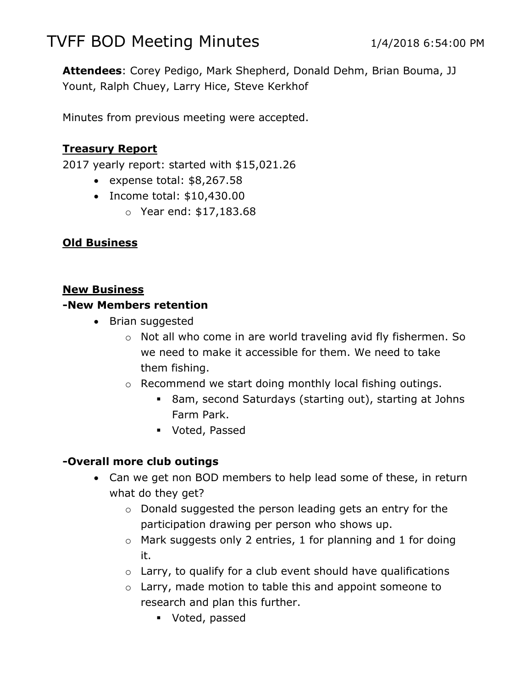# TVFF BOD Meeting Minutes 1/4/2018 6:54:00 PM

**Attendees**: Corey Pedigo, Mark Shepherd, Donald Dehm, Brian Bouma, JJ Yount, Ralph Chuey, Larry Hice, Steve Kerkhof

Minutes from previous meeting were accepted.

## **Treasury Report**

2017 yearly report: started with \$15,021.26

- expense total:  $$8,267.58$
- Income total: \$10,430.00
	- o Year end: \$17,183.68

#### **Old Business**

#### **New Business**

#### **-New Members retention**

- Brian suggested
	- o Not all who come in are world traveling avid fly fishermen. So we need to make it accessible for them. We need to take them fishing.
	- o Recommend we start doing monthly local fishing outings.
		- 8am, second Saturdays (starting out), starting at Johns Farm Park.
		- Voted, Passed

#### **-Overall more club outings**

- Can we get non BOD members to help lead some of these, in return what do they get?
	- o Donald suggested the person leading gets an entry for the participation drawing per person who shows up.
	- $\circ$  Mark suggests only 2 entries, 1 for planning and 1 for doing it.
	- $\circ$  Larry, to qualify for a club event should have qualifications
	- o Larry, made motion to table this and appoint someone to research and plan this further.
		- Voted, passed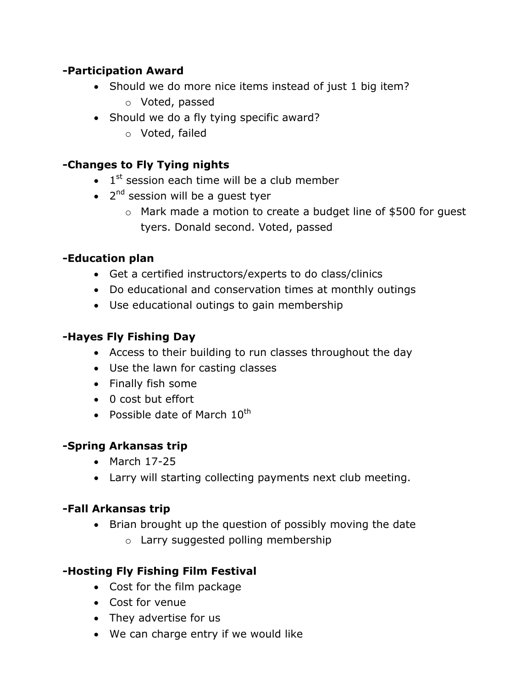# **-Participation Award**

- Should we do more nice items instead of just 1 big item?
	- o Voted, passed
- Should we do a fly tying specific award?
	- o Voted, failed

# **-Changes to Fly Tying nights**

- $\bullet$  1<sup>st</sup> session each time will be a club member
- 2<sup>nd</sup> session will be a guest tyer
	- o Mark made a motion to create a budget line of \$500 for guest tyers. Donald second. Voted, passed

# **-Education plan**

- Get a certified instructors/experts to do class/clinics
- Do educational and conservation times at monthly outings
- Use educational outings to gain membership

# **-Hayes Fly Fishing Day**

- Access to their building to run classes throughout the day
- Use the lawn for casting classes
- Finally fish some
- 0 cost but effort
- Possible date of March  $10^{th}$

## **-Spring Arkansas trip**

- $•$  March  $17-25$
- Larry will starting collecting payments next club meeting.

## **-Fall Arkansas trip**

- Brian brought up the question of possibly moving the date
	- o Larry suggested polling membership

# **-Hosting Fly Fishing Film Festival**

- Cost for the film package
- Cost for venue
- They advertise for us
- We can charge entry if we would like